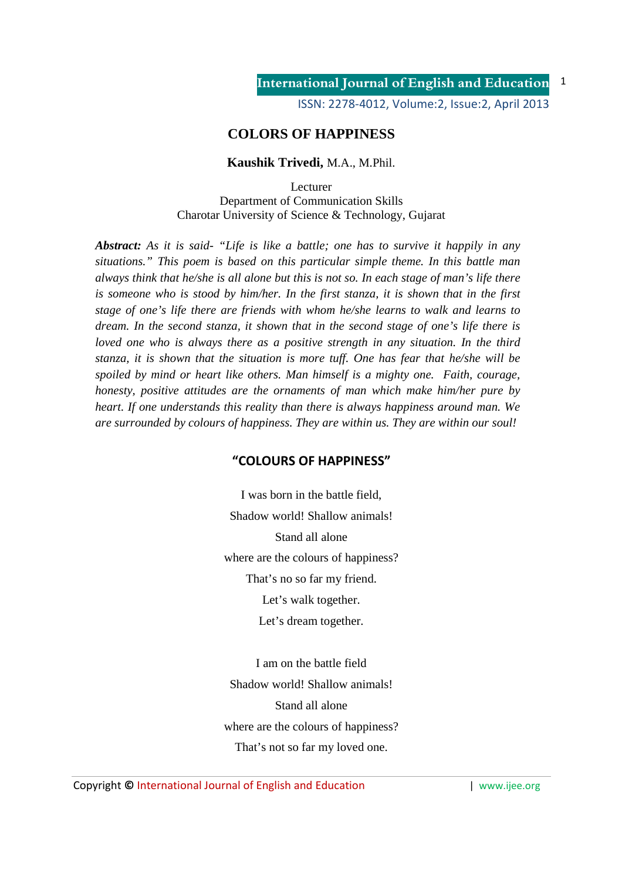ISSN: 2278-4012, Volume:2, Issue:2, April 2013

## **COLORS OF HAPPINESS**

## **Kaushik Trivedi,** M.A., M.Phil.

Lecturer Department of Communication Skills Charotar University of Science & Technology, Gujarat

*Abstract: As it is said- "Life is like a battle; one has to survive it happily in any situations." This poem is based on this particular simple theme. In this battle man always think that he/she is all alone but this is not so. In each stage of man's life there is someone who is stood by him/her. In the first stanza, it is shown that in the first stage of one's life there are friends with whom he/she learns to walk and learns to dream. In the second stanza, it shown that in the second stage of one's life there is loved one who is always there as a positive strength in any situation. In the third stanza, it is shown that the situation is more tuff. One has fear that he/she will be spoiled by mind or heart like others. Man himself is a mighty one. Faith, courage, honesty, positive attitudes are the ornaments of man which make him/her pure by heart. If one understands this reality than there is always happiness around man. We are surrounded by colours of happiness. They are within us. They are within our soul!* 

## **"COLOURS OF HAPPINESS"**

I was born in the battle field, Shadow world! Shallow animals! Stand all alone where are the colours of happiness? That's no so far my friend. Let's walk together.

Let's dream together.

I am on the battle field Shadow world! Shallow animals! Stand all alone where are the colours of happiness? That's not so far my loved one.